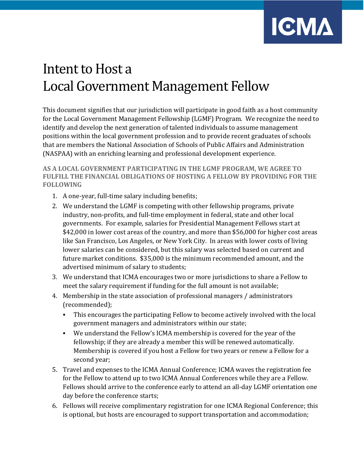

## Intent to Host a Local Government Management Fellow

This document signifies that our jurisdiction will participate in good faith as a host community for the Local Government Management Fellowship (LGMF) Program. We recognize the need to identify and develop the next generation of talented individuals to assume management positions within the local government profession and to provide recent graduates of schools that are members the National Association of Schools of Public Affairs and Administration (NASPAA) with an enriching learning and professional development experience.

**AS A LOCAL GOVERNMENT PARTICIPATING IN THE LGMF PROGRAM, WE AGREE TO FULFILL THE FINANCIAL OBLIGATIONS OF HOSTING A FELLOW BY PROVIDING FOR THE FOLLOWING**

- 1. A one-year, full-time salary including benefits;
- 2. We understand the LGMF is competing with other fellowship programs, private industry, non-profits, and full-time employment in federal, state and other local governments. For example, salaries for Presidential Management Fellows start at \$42,000 in lower cost areas of the country, and more than \$56,000 for higher cost areas like San Francisco, Los Angeles, or New York City. In areas with lower costs of living lower salaries can be considered, but this salary was selected based on current and future market conditions. \$35,000 is the minimum recommended amount, and the advertised minimum of salary to students;
- 3. We understand that ICMA encourages two or more jurisdictions to share a Fellow to meet the salary requirement if funding for the full amount is not available;
- 4. Membership in the state association of professional managers / administrators (recommended);
	- This encourages the participating Fellow to become actively involved with the local government managers and administrators within our state;
	- We understand the Fellow's ICMA membership is covered for the year of the fellowship; if they are already a member this will be renewed automatically. Membership is covered if you host a Fellow for two years or renew a Fellow for a second year;
- 5. Travel and expenses to the ICMA Annual Conference; ICMA waves the registration fee for the Fellow to attend up to two ICMA Annual Conferences while they are a Fellow. Fellows should arrive to the conference early to attend an all-day LGMF orientation one day before the conference starts;
- 6. Fellows will receive complimentary registration for one ICMA Regional Conference; this is optional, but hosts are encouraged to support transportation and accommodation;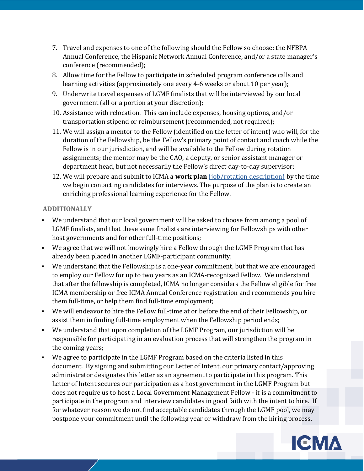- 7. Travel and expenses to one of the following should the Fellow so choose: the NFBPA Annual Conference, the Hispanic Network Annual Conference, and/or a state manager's conference (recommended);
- 8. Allow time for the Fellow to participate in scheduled program conference calls and learning activities (approximately one every 4-6 weeks or about 10 per year);
- 9. Underwrite travel expenses of LGMF finalists that will be interviewed by our local government (all or a portion at your discretion);
- 10. Assistance with relocation. This can include expenses, housing options, and/or transportation stipend or reimbursement (recommended, not required);
- 11. We will assign a mentor to the Fellow (identified on the letter of intent) who will, for the duration of the Fellowship, be the Fellow's primary point of contact and coach while the Fellow is in our jurisdiction, and will be available to the Fellow during rotation assignments; the mentor may be the CAO, a deputy, or senior assistant manager or department head, but not necessarily the Fellow's direct day-to-day supervisor;
- 12. We will prepare and submit to ICMA a **work plan** [\(job/rotation](https://icma.org/building-your-work-plan) description) by the time we begin contacting candidates for interviews. The purpose of the plan is to create an enriching professional learning experience for the Fellow.

## **ADDITIONALLY**

- We understand that our local government will be asked to choose from among a pool of LGMF finalists, and that these same finalists are interviewing for Fellowships with other host governments and for other full-time positions;
- We agree that we will not knowingly hire a Fellow through the LGMF Program that has already been placed in another LGMF-participant community;
- We understand that the Fellowship is a one-year commitment, but that we are encouraged to employ our Fellow for up to two years as an ICMA-recognized Fellow. We understand that after the fellowship is completed, ICMA no longer considers the Fellow eligible for free ICMA membership or free ICMA Annual Conference registration and recommends you hire them full-time, or help them find full-time employment;
- We will endeavor to hire the Fellow full-time at or before the end of their Fellowship, or assist them in finding full-time employment when the Fellowship period ends;
- We understand that upon completion of the LGMF Program, our jurisdiction will be responsible for participating in an evaluation process that will strengthen the program in the coming years;
- We agree to participate in the LGMF Program based on the criteria listed in this document. By signing and submitting our Letter of Intent, our primary contact/approving administrator designates this letter as an agreement to participate in this program. This Letter of Intent secures our participation as a host government in the LGMF Program but does not require us to host a Local Government Management Fellow - it is a commitment to participate in the program and interview candidates in good faith with the intent to hire. If for whatever reason we do not find acceptable candidates through the LGMF pool, we may postpone your commitment until the following year or withdraw from the hiring process.